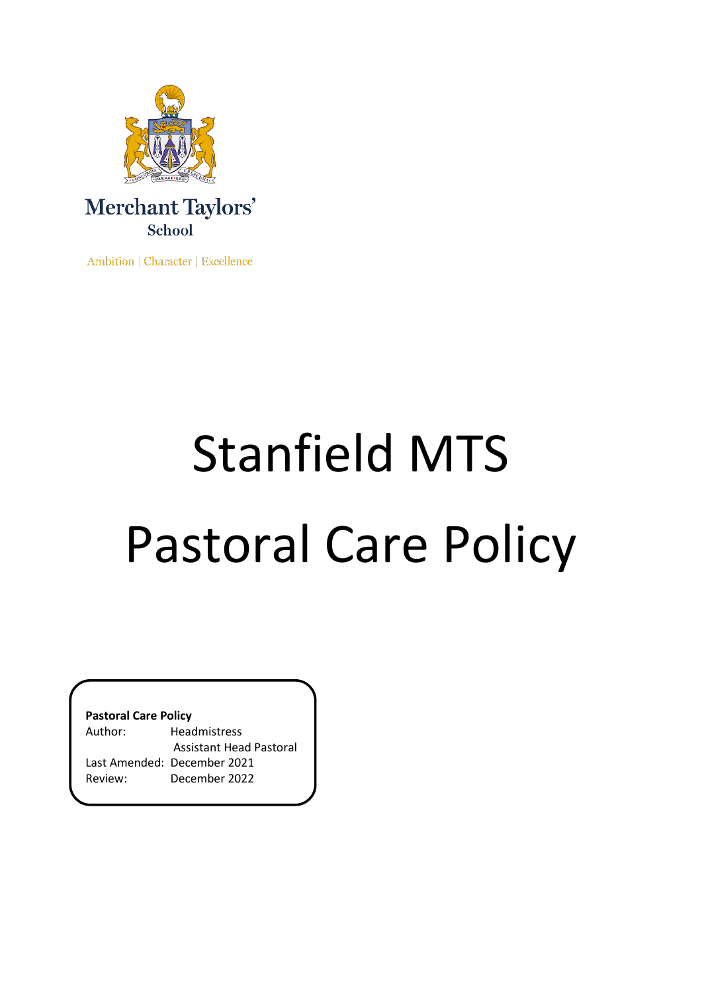

Ambition | Character | Excellence

# Stanfield MTS Pastoral Care Policy

**Pastoral Care Policy**

| Author: | <b>Headmistress</b>         |  |
|---------|-----------------------------|--|
|         | Assistant Head Pastoral     |  |
|         | Last Amended: December 2021 |  |
| Review: | December 2022               |  |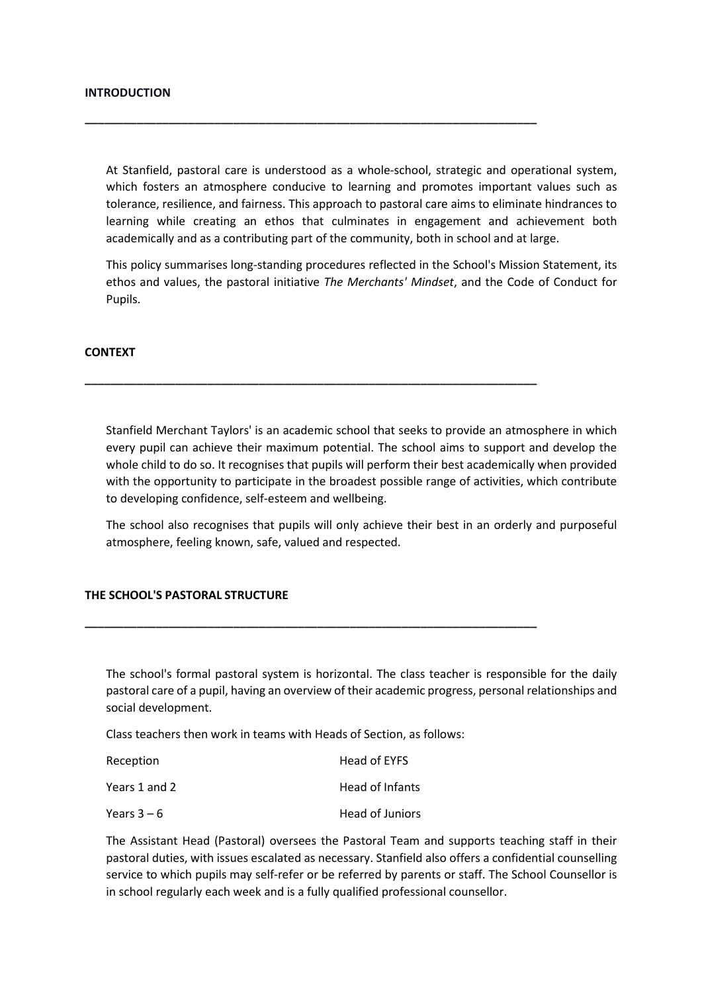At Stanfield, pastoral care is understood as a whole-school, strategic and operational system, which fosters an atmosphere conducive to learning and promotes important values such as tolerance, resilience, and fairness. This approach to pastoral care aims to eliminate hindrances to learning while creating an ethos that culminates in engagement and achievement both academically and as a contributing part of the community, both in school and at large.

**\_\_\_\_\_\_\_\_\_\_\_\_\_\_\_\_\_\_\_\_\_\_\_\_\_\_\_\_\_\_\_\_\_\_\_\_\_\_\_\_\_\_\_\_\_\_\_\_\_\_\_\_\_\_\_\_\_\_\_\_\_\_\_\_\_\_\_\_\_\_**

**\_\_\_\_\_\_\_\_\_\_\_\_\_\_\_\_\_\_\_\_\_\_\_\_\_\_\_\_\_\_\_\_\_\_\_\_\_\_\_\_\_\_\_\_\_\_\_\_\_\_\_\_\_\_\_\_\_\_\_\_\_\_\_\_\_\_\_\_\_\_**

This policy summarises long-standing procedures reflected in the School's Mission Statement, its ethos and values, the pastoral initiative *The Merchants' Mindset*, and the Code of Conduct for Pupils.

### **CONTEXT**

Stanfield Merchant Taylors' is an academic school that seeks to provide an atmosphere in which every pupil can achieve their maximum potential. The school aims to support and develop the whole child to do so. It recognises that pupils will perform their best academically when provided with the opportunity to participate in the broadest possible range of activities, which contribute to developing confidence, self-esteem and wellbeing.

The school also recognises that pupils will only achieve their best in an orderly and purposeful atmosphere, feeling known, safe, valued and respected.

### **THE SCHOOL'S PASTORAL STRUCTURE**

The school's formal pastoral system is horizontal. The class teacher is responsible for the daily pastoral care of a pupil, having an overview of their academic progress, personal relationships and social development.

Class teachers then work in teams with Heads of Section, as follows:

**\_\_\_\_\_\_\_\_\_\_\_\_\_\_\_\_\_\_\_\_\_\_\_\_\_\_\_\_\_\_\_\_\_\_\_\_\_\_\_\_\_\_\_\_\_\_\_\_\_\_\_\_\_\_\_\_\_\_\_\_\_\_\_\_\_\_\_\_\_\_**

| Reception     | Head of EYFS    |
|---------------|-----------------|
| Years 1 and 2 | Head of Infants |
| Years 3 – 6   | Head of Juniors |

The Assistant Head (Pastoral) oversees the Pastoral Team and supports teaching staff in their pastoral duties, with issues escalated as necessary. Stanfield also offers a confidential counselling service to which pupils may self-refer or be referred by parents or staff. The School Counsellor is in school regularly each week and is a fully qualified professional counsellor.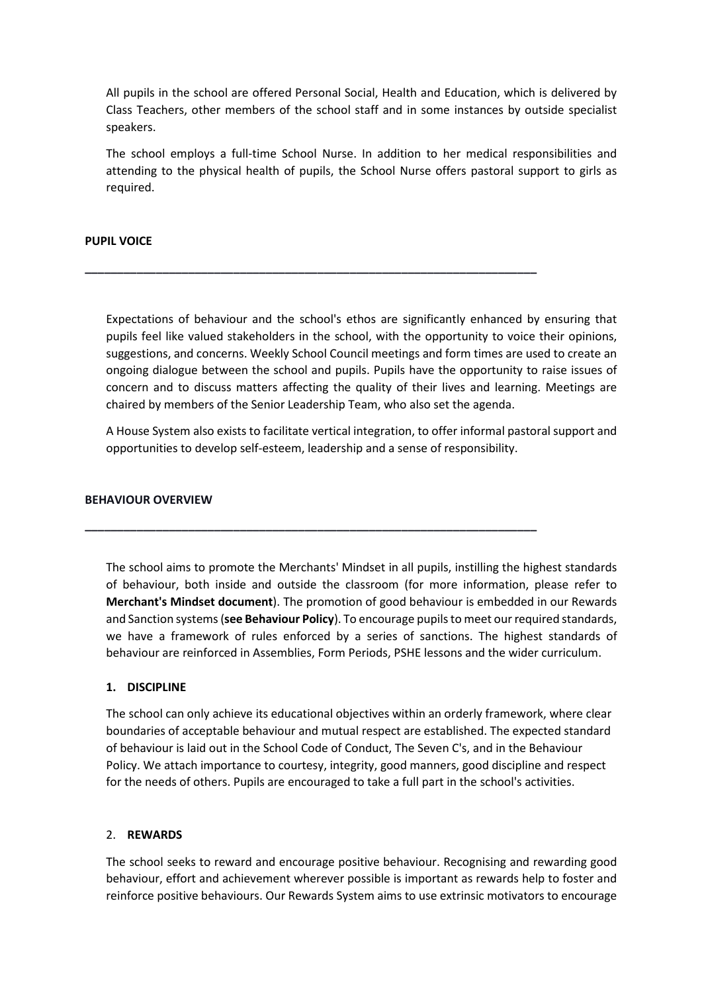All pupils in the school are offered Personal Social, Health and Education, which is delivered by Class Teachers, other members of the school staff and in some instances by outside specialist speakers.

The school employs a full-time School Nurse. In addition to her medical responsibilities and attending to the physical health of pupils, the School Nurse offers pastoral support to girls as required.

## **PUPIL VOICE**

Expectations of behaviour and the school's ethos are significantly enhanced by ensuring that pupils feel like valued stakeholders in the school, with the opportunity to voice their opinions, suggestions, and concerns. Weekly School Council meetings and form times are used to create an ongoing dialogue between the school and pupils. Pupils have the opportunity to raise issues of concern and to discuss matters affecting the quality of their lives and learning. Meetings are chaired by members of the Senior Leadership Team, who also set the agenda.

**\_\_\_\_\_\_\_\_\_\_\_\_\_\_\_\_\_\_\_\_\_\_\_\_\_\_\_\_\_\_\_\_\_\_\_\_\_\_\_\_\_\_\_\_\_\_\_\_\_\_\_\_\_\_\_\_\_\_\_\_\_\_\_\_\_\_\_\_\_\_**

**\_\_\_\_\_\_\_\_\_\_\_\_\_\_\_\_\_\_\_\_\_\_\_\_\_\_\_\_\_\_\_\_\_\_\_\_\_\_\_\_\_\_\_\_\_\_\_\_\_\_\_\_\_\_\_\_\_\_\_\_\_\_\_\_\_\_\_\_\_\_**

A House System also exists to facilitate vertical integration, to offer informal pastoral support and opportunities to develop self-esteem, leadership and a sense of responsibility.

### **BEHAVIOUR OVERVIEW**

The school aims to promote the Merchants' Mindset in all pupils, instilling the highest standards of behaviour, both inside and outside the classroom (for more information, please refer to **Merchant's Mindset document**). The promotion of good behaviour is embedded in our Rewards and Sanction systems (**see Behaviour Policy**). To encourage pupils to meet our required standards, we have a framework of rules enforced by a series of sanctions. The highest standards of behaviour are reinforced in Assemblies, Form Periods, PSHE lessons and the wider curriculum.

### **1. DISCIPLINE**

The school can only achieve its educational objectives within an orderly framework, where clear boundaries of acceptable behaviour and mutual respect are established. The expected standard of behaviour is laid out in the School Code of Conduct, The Seven C's, and in the Behaviour Policy. We attach importance to courtesy, integrity, good manners, good discipline and respect for the needs of others. Pupils are encouraged to take a full part in the school's activities.

### 2. **REWARDS**

The school seeks to reward and encourage positive behaviour. Recognising and rewarding good behaviour, effort and achievement wherever possible is important as rewards help to foster and reinforce positive behaviours. Our Rewards System aims to use extrinsic motivators to encourage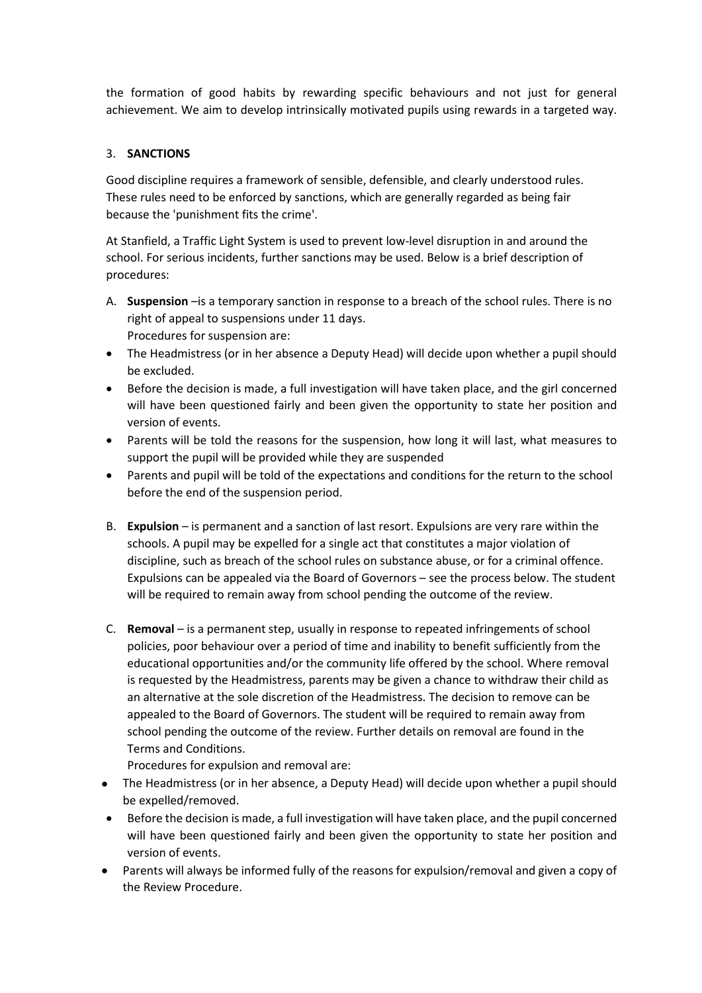the formation of good habits by rewarding specific behaviours and not just for general achievement. We aim to develop intrinsically motivated pupils using rewards in a targeted way.

# 3. **SANCTIONS**

Good discipline requires a framework of sensible, defensible, and clearly understood rules. These rules need to be enforced by sanctions, which are generally regarded as being fair because the 'punishment fits the crime'.

At Stanfield, a Traffic Light System is used to prevent low-level disruption in and around the school. For serious incidents, further sanctions may be used. Below is a brief description of procedures:

- A. **Suspension** –is a temporary sanction in response to a breach of the school rules. There is no right of appeal to suspensions under 11 days. Procedures for suspension are:
- The Headmistress (or in her absence a Deputy Head) will decide upon whether a pupil should be excluded.
- Before the decision is made, a full investigation will have taken place, and the girl concerned will have been questioned fairly and been given the opportunity to state her position and version of events.
- Parents will be told the reasons for the suspension, how long it will last, what measures to support the pupil will be provided while they are suspended
- Parents and pupil will be told of the expectations and conditions for the return to the school before the end of the suspension period.
- B. **Expulsion** is permanent and a sanction of last resort. Expulsions are very rare within the schools. A pupil may be expelled for a single act that constitutes a major violation of discipline, such as breach of the school rules on substance abuse, or for a criminal offence. Expulsions can be appealed via the Board of Governors – see the process below. The student will be required to remain away from school pending the outcome of the review.
- C. **Removal** is a permanent step, usually in response to repeated infringements of school policies, poor behaviour over a period of time and inability to benefit sufficiently from the educational opportunities and/or the community life offered by the school. Where removal is requested by the Headmistress, parents may be given a chance to withdraw their child as an alternative at the sole discretion of the Headmistress. The decision to remove can be appealed to the Board of Governors. The student will be required to remain away from school pending the outcome of the review. Further details on removal are found in the Terms and Conditions.

Procedures for expulsion and removal are:

- The Headmistress (or in her absence, a Deputy Head) will decide upon whether a pupil should be expelled/removed.
- Before the decision is made, a full investigation will have taken place, and the pupil concerned will have been questioned fairly and been given the opportunity to state her position and version of events.
- Parents will always be informed fully of the reasons for expulsion/removal and given a copy of the Review Procedure.